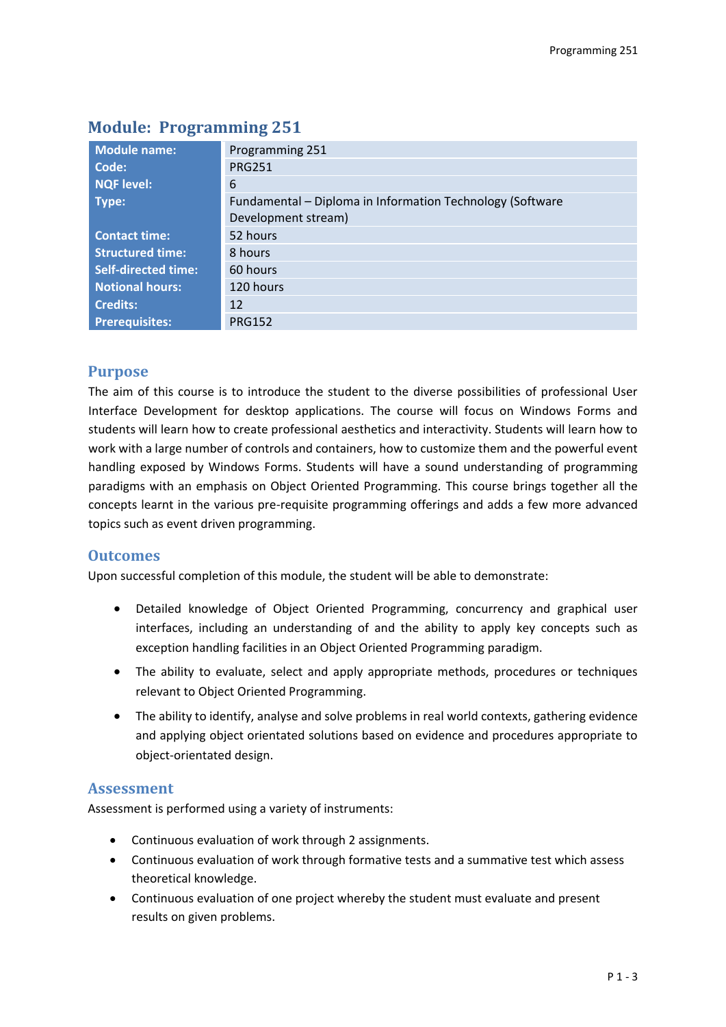| <b>Module name:</b>        | Programming 251                                           |  |  |  |
|----------------------------|-----------------------------------------------------------|--|--|--|
| Code:                      | <b>PRG251</b>                                             |  |  |  |
| <b>NQF level:</b>          | 6                                                         |  |  |  |
| Type:                      | Fundamental - Diploma in Information Technology (Software |  |  |  |
|                            | Development stream)                                       |  |  |  |
| <b>Contact time:</b>       | 52 hours                                                  |  |  |  |
| <b>Structured time:</b>    | 8 hours                                                   |  |  |  |
| <b>Self-directed time:</b> | 60 hours                                                  |  |  |  |
| <b>Notional hours:</b>     | 120 hours                                                 |  |  |  |
| <b>Credits:</b>            | 12                                                        |  |  |  |
| <b>Prerequisites:</b>      | <b>PRG152</b>                                             |  |  |  |

# **Module: Programming 251**

## **Purpose**

The aim of this course is to introduce the student to the diverse possibilities of professional User Interface Development for desktop applications. The course will focus on Windows Forms and students will learn how to create professional aesthetics and interactivity. Students will learn how to work with a large number of controls and containers, how to customize them and the powerful event handling exposed by Windows Forms. Students will have a sound understanding of programming paradigms with an emphasis on Object Oriented Programming. This course brings together all the concepts learnt in the various pre-requisite programming offerings and adds a few more advanced topics such as event driven programming.

## **Outcomes**

Upon successful completion of this module, the student will be able to demonstrate:

- Detailed knowledge of Object Oriented Programming, concurrency and graphical user interfaces, including an understanding of and the ability to apply key concepts such as exception handling facilities in an Object Oriented Programming paradigm.
- The ability to evaluate, select and apply appropriate methods, procedures or techniques relevant to Object Oriented Programming.
- The ability to identify, analyse and solve problems in real world contexts, gathering evidence and applying object orientated solutions based on evidence and procedures appropriate to object-orientated design.

#### **Assessment**

Assessment is performed using a variety of instruments:

- Continuous evaluation of work through 2 assignments.
- Continuous evaluation of work through formative tests and a summative test which assess theoretical knowledge.
- Continuous evaluation of one project whereby the student must evaluate and present results on given problems.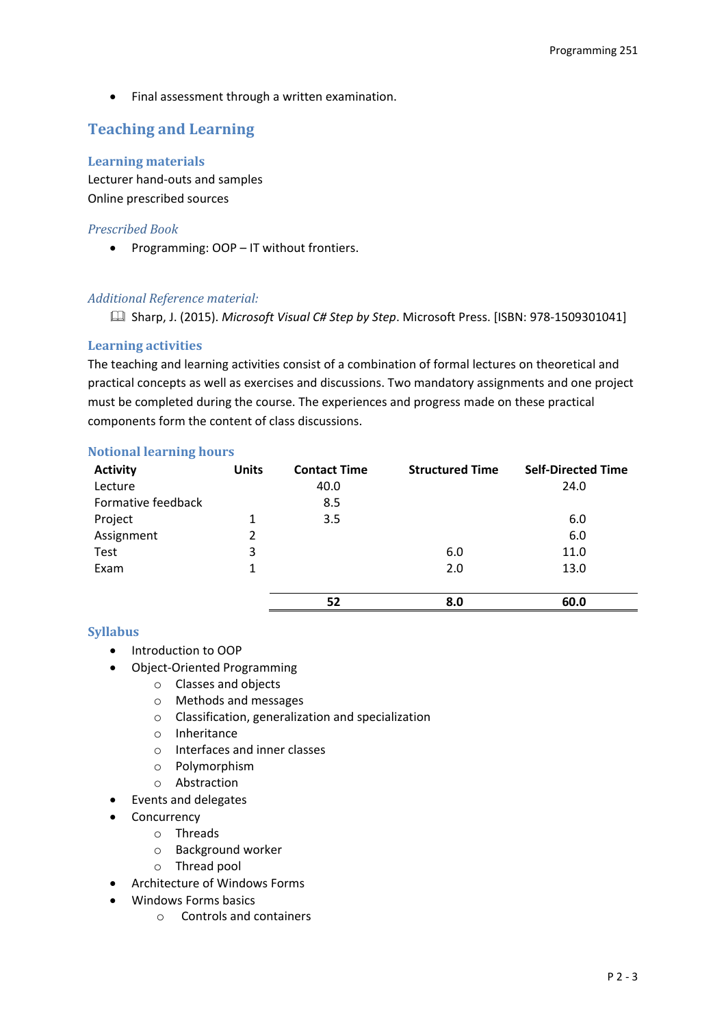Final assessment through a written examination.

# **Teaching and Learning**

### **Learning materials**

Lecturer hand-outs and samples Online prescribed sources

## *Prescribed Book*

• Programming: OOP – IT without frontiers.

## *Additional Reference material:*

Sharp, J. (2015). *Microsoft Visual C# Step by Step*. Microsoft Press. [ISBN: 978-1509301041]

## **Learning activities**

The teaching and learning activities consist of a combination of formal lectures on theoretical and practical concepts as well as exercises and discussions. Two mandatory assignments and one project must be completed during the course. The experiences and progress made on these practical components form the content of class discussions.

#### **Notional learning hours**

| <b>Activity</b>    | <b>Units</b> | <b>Contact Time</b> | <b>Structured Time</b> | <b>Self-Directed Time</b> |
|--------------------|--------------|---------------------|------------------------|---------------------------|
| Lecture            |              | 40.0                |                        | 24.0                      |
| Formative feedback |              | 8.5                 |                        |                           |
| Project            | 1            | 3.5                 |                        | 6.0                       |
| Assignment         | 2            |                     |                        | 6.0                       |
| Test               | 3            |                     | 6.0                    | 11.0                      |
| Exam               | 1            |                     | 2.0                    | 13.0                      |
|                    |              |                     |                        |                           |
|                    |              | 52                  | 8.0                    | 60.0                      |

#### **Syllabus**

- Introduction to OOP
- Object-Oriented Programming
	- o Classes and objects
	- o Methods and messages
	- o Classification, generalization and specialization
	- o Inheritance
	- o Interfaces and inner classes
	- o Polymorphism
	- o Abstraction
- Events and delegates
- Concurrency
	- o Threads
		- o Background worker
		- o Thread pool
- Architecture of Windows Forms
- Windows Forms basics
	- o Controls and containers